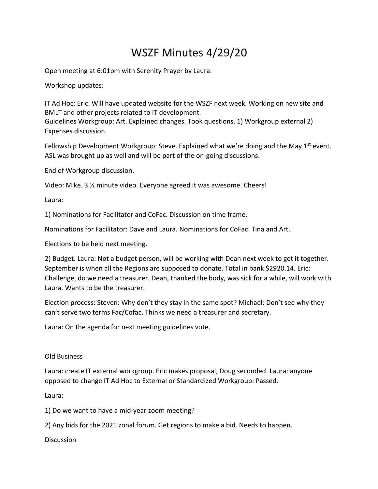## WSZF Minutes 4/29/20

Open meeting at 6:01pm with Serenity Prayer by Laura.

Workshop updates:

IT Ad Hoc: Eric. Will have updated website for the WSZF next week. Working on new site and BMLT and other projects related to IT development.

Guidelines Workgroup: Art. Explained changes. Took questions. 1) Workgroup external 2) Expenses discussion.

Fellowship Development Workgroup: Steve. Explained what we're doing and the May  $1^{st}$  event. ASL was brought up as well and will be part of the on-going discussions.

End of Workgroup discussion.

Video: Mike. 3 ½ minute video. Everyone agreed it was awesome. Cheers!

Laura:

1) Nominations for Facilitator and CoFac. Discussion on time frame.

Nominations for Facilitator: Dave and Laura. Nominations for CoFac: Tina and Art.

Elections to be held next meeting.

2) Budget. Laura: Not a budget person, will be working with Dean next week to get it together. September is when all the Regions are supposed to donate. Total in bank \$2920.14. Eric: Challenge, do we need a treasurer. Dean, thanked the body, was sick for a while, will work with Laura. Wants to be the treasurer.

Election process: Steven: Why don't they stay in the same spot? Michael: Don't see why they can't serve two terms Fac/Cofac. Thinks we need a treasurer and secretary.

Laura: On the agenda for next meeting guidelines vote.

Old Business

Laura: create IT external workgroup. Eric makes proposal, Doug seconded. Laura: anyone opposed to change IT Ad Hoc to External or Standardized Workgroup: Passed.

Laura:

1) Do we want to have a mid-year zoom meeting?

2) Any bids for the 2021 zonal forum. Get regions to make a bid. Needs to happen.

**Discussion**